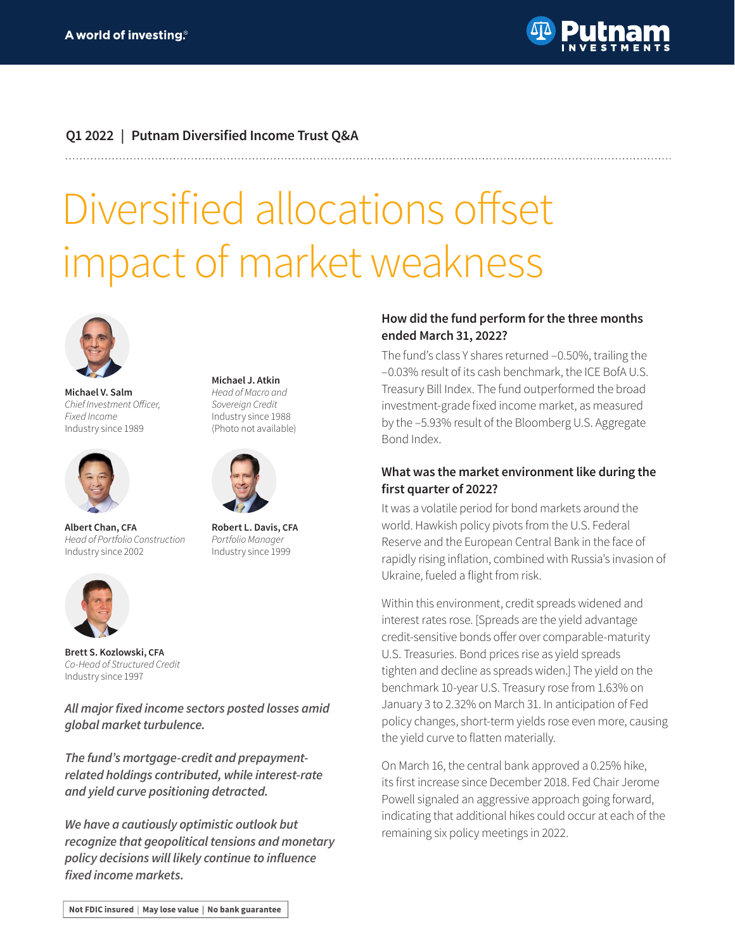

## **Q1 2022 | Putnam Diversified Income Trust Q&A**

# Diversified allocations offset impact of market weakness



**Michael V. Salm** Chief Investment Officer, *Fixed Income* Industry since 1989



**Albert Chan, CFA** *Head of Portfolio Construction*  Industry since 2002

**Michael J. Atkin**  *Head of Macro and Sovereign Credit* Industry since 1988 (Photo not available)



**Robert L. Davis, CFA** *Portfolio Manager* Industry since 1999



**Brett S. Kozlowski, CFA** *Co-Head of Structured Credit* Industry since 1997

**All major fixed income sectors posted losses amid global market turbulence.** 

**The fund's mortgage-credit and prepaymentrelated holdings contributed, while interest-rate and yield curve positioning detracted.**

**We have a cautiously optimistic outlook but recognize that geopolitical tensions and monetary policy decisions will likely continue to influence fixed income markets.**

### **How did the fund perform for the three months ended March 31, 2022?**

The fund's class Y shares returned –0.50%, trailing the –0.03% result of its cash benchmark, the ICE BofA U.S. Treasury Bill Index. The fund outperformed the broad investment-grade fixed income market, as measured by the –5.93% result of the Bloomberg U.S. Aggregate Bond Index.

#### **What was the market environment like during the first quarter of 2022?**

It was a volatile period for bond markets around the world. Hawkish policy pivots from the U.S. Federal Reserve and the European Central Bank in the face of rapidly rising inflation, combined with Russia's invasion of Ukraine, fueled a flight from risk.

Within this environment, credit spreads widened and interest rates rose. [Spreads are the yield advantage credit-sensitive bonds offer over comparable-maturity U.S. Treasuries. Bond prices rise as yield spreads tighten and decline as spreads widen.] The yield on the benchmark 10-year U.S. Treasury rose from 1.63% on January 3 to 2.32% on March 31. In anticipation of Fed policy changes, short-term yields rose even more, causing the yield curve to flatten materially.

On March 16, the central bank approved a 0.25% hike, its first increase since December 2018. Fed Chair Jerome Powell signaled an aggressive approach going forward, indicating that additional hikes could occur at each of the remaining six policy meetings in 2022.

Not FDIC insured | May lose value | No bank guarantee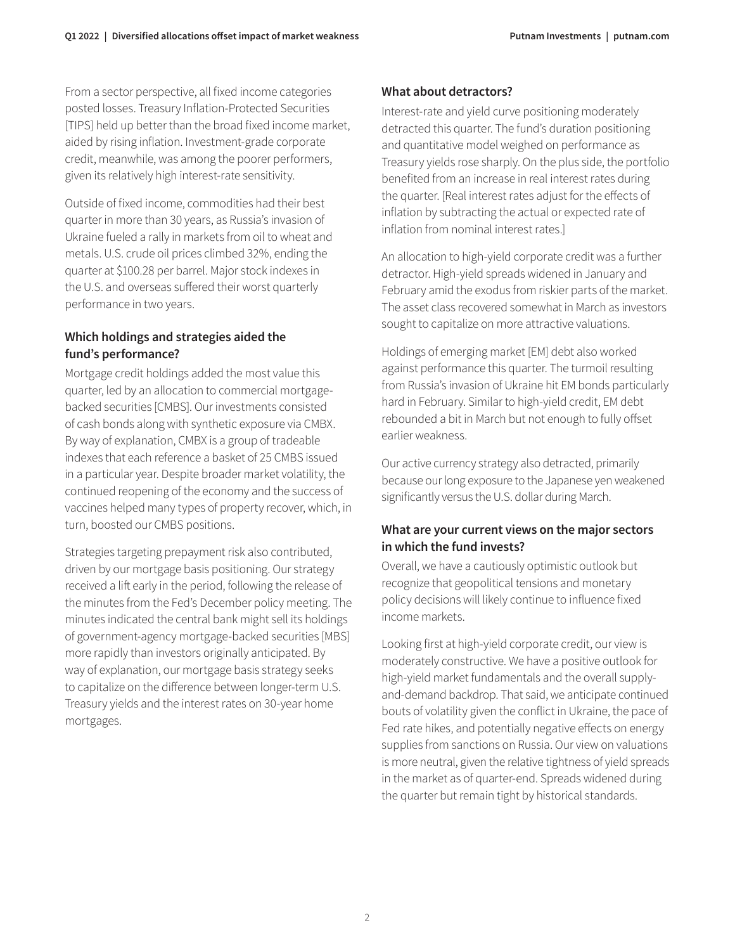From a sector perspective, all fixed income categories posted losses. Treasury Inflation-Protected Securities [TIPS] held up better than the broad fixed income market, aided by rising inflation. Investment-grade corporate credit, meanwhile, was among the poorer performers, given its relatively high interest-rate sensitivity.

Outside of fixed income, commodities had their best quarter in more than 30 years, as Russia's invasion of Ukraine fueled a rally in markets from oil to wheat and metals. U.S. crude oil prices climbed 32%, ending the quarter at \$100.28 per barrel. Major stock indexes in the U.S. and overseas suffered their worst quarterly performance in two years.

## **Which holdings and strategies aided the fund's performance?**

Mortgage credit holdings added the most value this quarter, led by an allocation to commercial mortgagebacked securities [CMBS]. Our investments consisted of cash bonds along with synthetic exposure via CMBX. By way of explanation, CMBX is a group of tradeable indexes that each reference a basket of 25 CMBS issued in a particular year. Despite broader market volatility, the continued reopening of the economy and the success of vaccines helped many types of property recover, which, in turn, boosted our CMBS positions.

Strategies targeting prepayment risk also contributed, driven by our mortgage basis positioning. Our strategy received a lift early in the period, following the release of the minutes from the Fed's December policy meeting. The minutes indicated the central bank might sell its holdings of government-agency mortgage-backed securities [MBS] more rapidly than investors originally anticipated. By way of explanation, our mortgage basis strategy seeks to capitalize on the difference between longer-term U.S. Treasury yields and the interest rates on 30-year home mortgages.

## **What about detractors?**

Interest-rate and yield curve positioning moderately detracted this quarter. The fund's duration positioning and quantitative model weighed on performance as Treasury yields rose sharply. On the plus side, the portfolio benefited from an increase in real interest rates during the quarter. [Real interest rates adjust for the effects of inflation by subtracting the actual or expected rate of inflation from nominal interest rates.]

An allocation to high-yield corporate credit was a further detractor. High-yield spreads widened in January and February amid the exodus from riskier parts of the market. The asset class recovered somewhat in March as investors sought to capitalize on more attractive valuations.

Holdings of emerging market [EM] debt also worked against performance this quarter. The turmoil resulting from Russia's invasion of Ukraine hit EM bonds particularly hard in February. Similar to high-yield credit, EM debt rebounded a bit in March but not enough to fully offset earlier weakness.

Our active currency strategy also detracted, primarily because our long exposure to the Japanese yen weakened significantly versus the U.S. dollar during March.

## **What are your current views on the major sectors in which the fund invests?**

Overall, we have a cautiously optimistic outlook but recognize that geopolitical tensions and monetary policy decisions will likely continue to influence fixed income markets.

Looking first at high-yield corporate credit, our view is moderately constructive. We have a positive outlook for high-yield market fundamentals and the overall supplyand-demand backdrop. That said, we anticipate continued bouts of volatility given the conflict in Ukraine, the pace of Fed rate hikes, and potentially negative effects on energy supplies from sanctions on Russia. Our view on valuations is more neutral, given the relative tightness of yield spreads in the market as of quarter-end. Spreads widened during the quarter but remain tight by historical standards.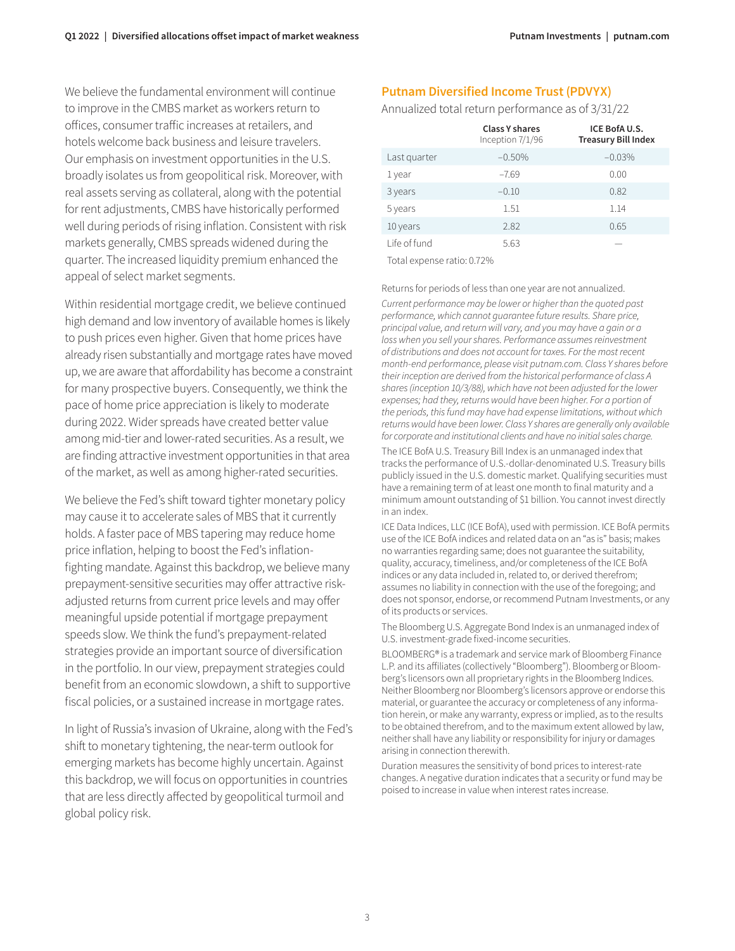We believe the fundamental environment will continue to improve in the CMBS market as workers return to offices, consumer traffic increases at retailers, and hotels welcome back business and leisure travelers. Our emphasis on investment opportunities in the U.S. broadly isolates us from geopolitical risk. Moreover, with real assets serving as collateral, along with the potential for rent adjustments, CMBS have historically performed well during periods of rising inflation. Consistent with risk markets generally, CMBS spreads widened during the quarter. The increased liquidity premium enhanced the appeal of select market segments.

Within residential mortgage credit, we believe continued high demand and low inventory of available homes is likely to push prices even higher. Given that home prices have already risen substantially and mortgage rates have moved up, we are aware that affordability has become a constraint for many prospective buyers. Consequently, we think the pace of home price appreciation is likely to moderate during 2022. Wider spreads have created better value among mid-tier and lower-rated securities. As a result, we are finding attractive investment opportunities in that area of the market, as well as among higher-rated securities.

We believe the Fed's shift toward tighter monetary policy may cause it to accelerate sales of MBS that it currently holds. A faster pace of MBS tapering may reduce home price inflation, helping to boost the Fed's inflationfighting mandate. Against this backdrop, we believe many prepayment-sensitive securities may offer attractive riskadjusted returns from current price levels and may offer meaningful upside potential if mortgage prepayment speeds slow. We think the fund's prepayment-related strategies provide an important source of diversification in the portfolio. In our view, prepayment strategies could benefit from an economic slowdown, a shift to supportive fiscal policies, or a sustained increase in mortgage rates.

In light of Russia's invasion of Ukraine, along with the Fed's shift to monetary tightening, the near-term outlook for emerging markets has become highly uncertain. Against this backdrop, we will focus on opportunities in countries that are less directly affected by geopolitical turmoil and global policy risk.

### **Putnam Diversified Income Trust (PDVYX)**

#### Annualized total return performance as of 3/31/22

|              | <b>Class Y shares</b><br>Inception 7/1/96 | ICE BofA U.S.<br><b>Treasury Bill Index</b> |
|--------------|-------------------------------------------|---------------------------------------------|
| Last quarter | $-0.50%$                                  | $-0.03%$                                    |
| 1 year       | $-7.69$                                   | 0.00                                        |
| 3 years      | $-0.10$                                   | 0.82                                        |
| 5 years      | 1.51                                      | 1.14                                        |
| 10 years     | 2.82                                      | 0.65                                        |
| Life of fund | 5.63                                      |                                             |

Total expense ratio: 0.72%

Returns for periods of less than one year are not annualized.

*Current performance may be lower or higher than the quoted past*  performance, which cannot guarantee future results. Share price, principal value, and return will vary, and you may have a gain or a loss when you sell your shares. Performance assumes reinvestment of distributions and does not account for taxes. For the most recent month-end performance, please visit [putnam.com.](https://www.putnam.com?ref=TL028.pdf) *Class Y shares before their inception are derived from the historical performance of class A*  shares (inception 10/3/88), which have not been adjusted for the lower expenses; had they, returns would have been higher. For a portion of the periods, this fund may have had expense limitations, without which returns would have been lower. Class Y shares are generally only available for corporate and institutional clients and have no initial sales charge.

The ICE BofA U.S. Treasury Bill Index is an unmanaged index that tracks the performance of U.S.-dollar-denominated U.S. Treasury bills publicly issued in the U.S. domestic market. Qualifying securities must have a remaining term of at least one month to final maturity and a minimum amount outstanding of \$1 billion. You cannot invest directly in an index.

ICE Data Indices, LLC (ICE BofA), used with permission. ICE BofA permits use of the ICE BofA indices and related data on an "as is" basis; makes no warranties regarding same; does not guarantee the suitability, quality, accuracy, timeliness, and/or completeness of the ICE BofA indices or any data included in, related to, or derived therefrom; assumes no liability in connection with the use of the foregoing; and does not sponsor, endorse, or recommend Putnam Investments, or any of its products or services.

The Bloomberg U.S. Aggregate Bond Index is an unmanaged index of U.S. investment-grade fixed-income securities.

BLOOMBERG® is a trademark and service mark of Bloomberg Finance L.P. and its affiliates (collectively "Bloomberg"). Bloomberg or Bloomberg's licensors own all proprietary rights in the Bloomberg Indices. Neither Bloomberg nor Bloomberg's licensors approve or endorse this material, or guarantee the accuracy or completeness of any information herein, or make any warranty, express or implied, as to the results to be obtained therefrom, and to the maximum extent allowed by law, neither shall have any liability or responsibility for injury or damages arising in connection therewith.

Duration measures the sensitivity of bond prices to interest-rate changes. A negative duration indicates that a security or fund may be poised to increase in value when interest rates increase.